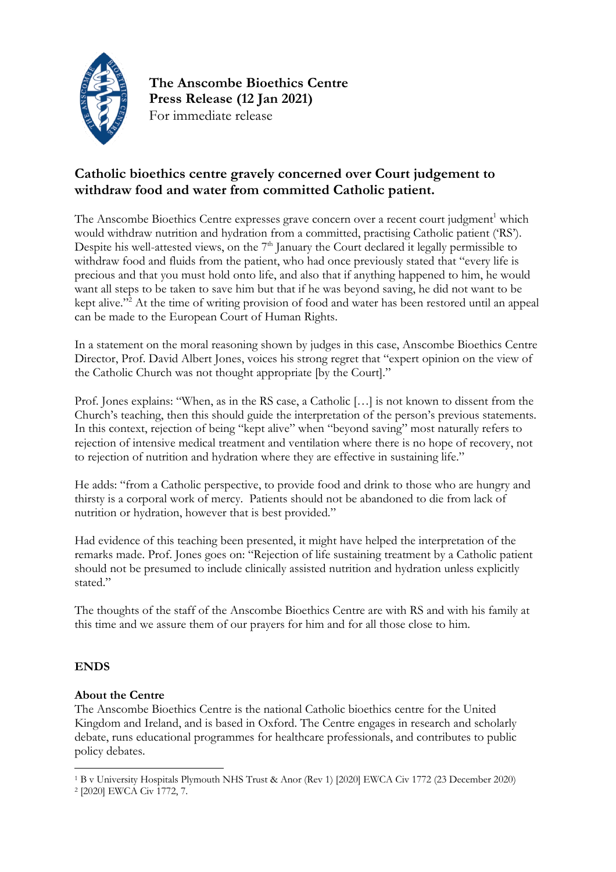

**The Anscombe Bioethics Centre Press Release (12 Jan 2021)** For immediate release

## **Catholic bioethics centre gravely concerned over Court judgement to withdraw food and water from committed Catholic patient.**

The Anscombe Bioethics Centre expresses grave concern over a recent court judgment<sup>1</sup> which would withdraw nutrition and hydration from a committed, practising Catholic patient ('RS'). Despite his well-attested views, on the  $7<sup>th</sup>$  January the Court declared it legally permissible to withdraw food and fluids from the patient, who had once previously stated that "every life is precious and that you must hold onto life, and also that if anything happened to him, he would want all steps to be taken to save him but that if he was beyond saving, he did not want to be kept alive."<sup>2</sup> At the time of writing provision of food and water has been restored until an appeal can be made to the European Court of Human Rights.

In a statement on the moral reasoning shown by judges in this case, Anscombe Bioethics Centre Director, Prof. David Albert Jones, voices his strong regret that "expert opinion on the view of the Catholic Church was not thought appropriate [by the Court]."

Prof. Jones explains: "When, as in the RS case, a Catholic […] is not known to dissent from the Church's teaching, then this should guide the interpretation of the person's previous statements. In this context, rejection of being "kept alive" when "beyond saving" most naturally refers to rejection of intensive medical treatment and ventilation where there is no hope of recovery, not to rejection of nutrition and hydration where they are effective in sustaining life."

He adds: "from a Catholic perspective, to provide food and drink to those who are hungry and thirsty is a corporal work of mercy. Patients should not be abandoned to die from lack of nutrition or hydration, however that is best provided."

Had evidence of this teaching been presented, it might have helped the interpretation of the remarks made. Prof. Jones goes on: "Rejection of life sustaining treatment by a Catholic patient should not be presumed to include clinically assisted nutrition and hydration unless explicitly stated."

The thoughts of the staff of the Anscombe Bioethics Centre are with RS and with his family at this time and we assure them of our prayers for him and for all those close to him.

## **ENDS**

## **About the Centre**

The Anscombe Bioethics Centre is the national Catholic bioethics centre for the United Kingdom and Ireland, and is based in Oxford. The Centre engages in research and scholarly debate, runs educational programmes for healthcare professionals, and contributes to public policy debates.

<sup>1</sup> B v University Hospitals Plymouth NHS Trust & Anor (Rev 1) [2020] EWCA Civ 1772 (23 December 2020)

<sup>2</sup> [2020] EWCA Civ 1772, 7.